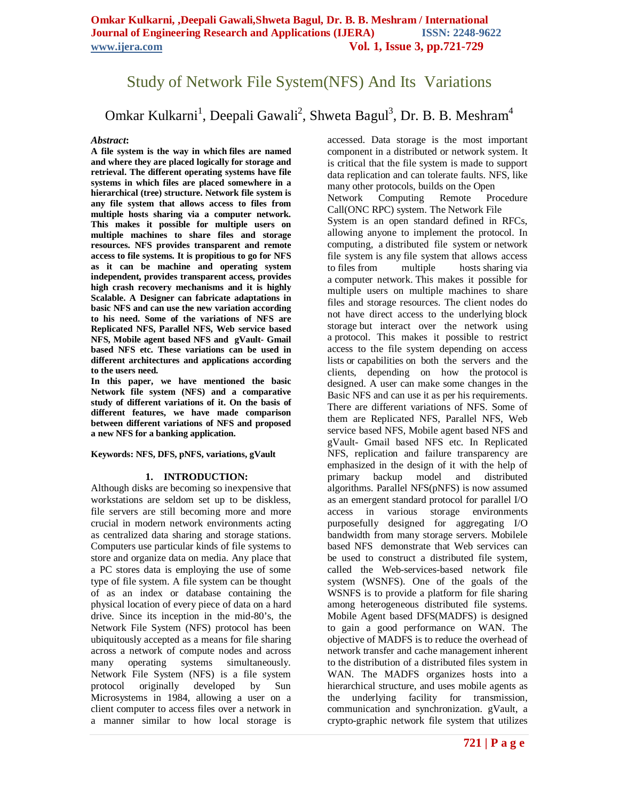## Study of Network File System(NFS) And Its Variations

# Omkar Kulkarni $^1$ , Deepali Gawali $^2$ , Shweta Bagul $^3$ , Dr. B. B. Meshram $^4$

#### *Abstract***:**

**A file system is the way in which files are named and where they are placed logically for storage and retrieval. The different operating systems have file systems in which files are placed somewhere in a hierarchical (tree) structure. Network file system is any file system that allows access to files from multiple hosts sharing via a computer network. This makes it possible for multiple users on multiple machines to share files and storage resources. NFS provides transparent and remote access to file systems. It is propitious to go for NFS as it can be machine and operating system independent, provides transparent access, provides high crash recovery mechanisms and it is highly Scalable. A Designer can fabricate adaptations in basic NFS and can use the new variation according to his need. Some of the variations of NFS are Replicated NFS, Parallel NFS, Web service based NFS, Mobile agent based NFS and gVault- Gmail based NFS etc. These variations can be used in different architectures and applications according to the users need.**

**In this paper, we have mentioned the basic Network file system (NFS) and a comparative study of different variations of it. On the basis of different features, we have made comparison between different variations of NFS and proposed a new NFS for a banking application.**

**Keywords: NFS, DFS, pNFS, variations, gVault**

#### **1. INTRODUCTION:**

Although disks are becoming so inexpensive that workstations are seldom set up to be diskless, file servers are still becoming more and more crucial in modern network environments acting as centralized data sharing and storage stations. Computers use particular kinds of file systems to store and organize data on media. Any place that a PC stores data is employing the use of some type of file system. A file system can be thought of as an index or database containing the physical location of every piece of data on a hard drive. Since its inception in the mid-80's, the Network File System (NFS) protocol has been ubiquitously accepted as a means for file sharing across a network of compute nodes and across many operating systems simultaneously. Network File System (NFS) is a file system protocol originally developed by Sun Microsystems in 1984, allowing a user on a client computer to access files over a network in a manner similar to how local storage is

accessed. Data storage is the most important component in a distributed or network system. It is critical that the file system is made to support data replication and can tolerate faults. NFS, like many other protocols, builds on the Open Network Computing Remote Procedure Call(ONC RPC) system. The Network File System is an open standard defined in RFCs, allowing anyone to implement the protocol. In computing, a distributed file system or network file system is any file system that allows access<br>to files from multiple hosts sharing via to files from multiple hosts sharing via a computer network. This makes it possible for multiple users on multiple machines to share files and storage resources. The client nodes do not have direct access to the underlying block storage but interact over the network using a protocol. This makes it possible to restrict access to the file system depending on access lists or capabilities on both the servers and the clients, depending on how the protocol is designed. A user can make some changes in the Basic NFS and can use it as per his requirements. There are different variations of NFS. Some of them are Replicated NFS, Parallel NFS, Web service based NFS, Mobile agent based NFS and gVault- Gmail based NFS etc. In Replicated NFS, replication and failure transparency are emphasized in the design of it with the help of primary backup model and distributed algorithms. Parallel NFS(pNFS) is now assumed as an emergent standard protocol for parallel I/O access in various storage environments purposefully designed for aggregating I/O bandwidth from many storage servers. Mobilele based NFS demonstrate that Web services can be used to construct a distributed file system, called the Web-services-based network file system (WSNFS). One of the goals of the WSNFS is to provide a platform for file sharing among heterogeneous distributed file systems. Mobile Agent based DFS(MADFS) is designed to gain a good performance on WAN. The objective of MADFS is to reduce the overhead of network transfer and cache management inherent to the distribution of a distributed files system in WAN. The MADFS organizes hosts into a hierarchical structure, and uses mobile agents as the underlying facility for transmission, communication and synchronization. gVault, a crypto-graphic network file system that utilizes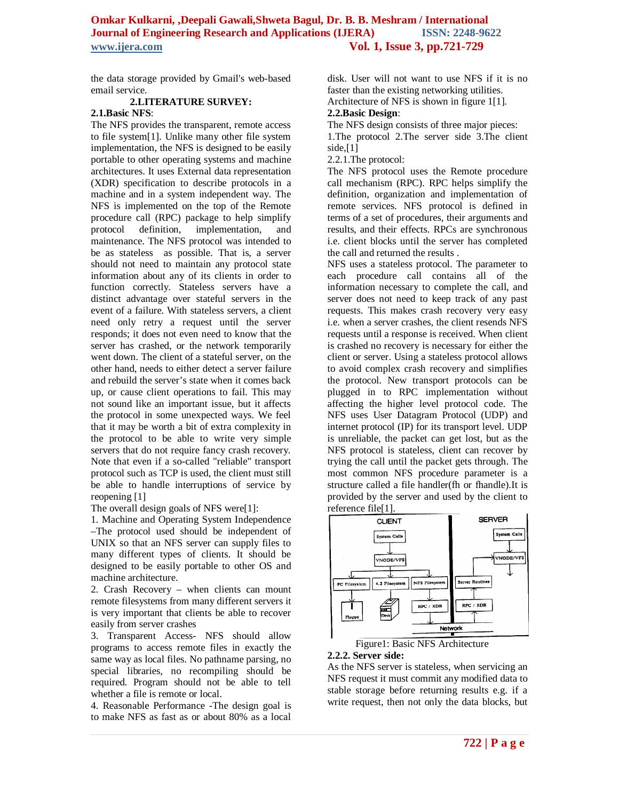the data storage provided by Gmail's web-based email service.

### **2.LITERATURE SURVEY:**

## **2.1.Basic NFS**:

The NFS provides the transparent, remote access to file system[1]. Unlike many other file system implementation, the NFS is designed to be easily portable to other operating systems and machine architectures. It uses External data representation (XDR) specification to describe protocols in a machine and in a system independent way. The NFS is implemented on the top of the Remote procedure call (RPC) package to help simplify protocol definition, implementation, and maintenance. The NFS protocol was intended to be as stateless as possible. That is, a server should not need to maintain any protocol state information about any of its clients in order to function correctly. Stateless servers have a distinct advantage over stateful servers in the event of a failure. With stateless servers, a client need only retry a request until the server responds; it does not even need to know that the server has crashed, or the network temporarily went down. The client of a stateful server, on the other hand, needs to either detect a server failure and rebuild the server's state when it comes back up, or cause client operations to fail. This may not sound like an important issue, but it affects the protocol in some unexpected ways. We feel that it may be worth a bit of extra complexity in the protocol to be able to write very simple servers that do not require fancy crash recovery. Note that even if a so-called "reliable" transport protocol such as TCP is used, the client must still be able to handle interruptions of service by reopening [1]

The overall design goals of NFS were[1]:

1. Machine and Operating System Independence –The protocol used should be independent of UNIX so that an NFS server can supply files to many different types of clients. It should be designed to be easily portable to other OS and machine architecture.

2. Crash Recovery – when clients can mount remote filesystems from many different servers it is very important that clients be able to recover easily from server crashes

3. Transparent Access- NFS should allow programs to access remote files in exactly the same way as local files. No pathname parsing, no special libraries, no recompiling should be required. Program should not be able to tell whether a file is remote or local.

4. Reasonable Performance -The design goal is to make NFS as fast as or about 80% as a local

disk. User will not want to use NFS if it is no faster than the existing networking utilities.

Architecture of NFS is shown in figure 1[1].

## **2.2.Basic Design**:

The NFS design consists of three major pieces:

1.The protocol 2.The server side 3.The client side, $[1]$ 

2.2.1.The protocol:

The NFS protocol uses the Remote procedure call mechanism (RPC). RPC helps simplify the definition, organization and implementation of remote services. NFS protocol is defined in terms of a set of procedures, their arguments and results, and their effects. RPCs are synchronous i.e. client blocks until the server has completed the call and returned the results .

NFS uses a stateless protocol. The parameter to each procedure call contains all of the information necessary to complete the call, and server does not need to keep track of any past requests. This makes crash recovery very easy i.e. when a server crashes, the client resends NFS requests until a response is received. When client is crashed no recovery is necessary for either the client or server. Using a stateless protocol allows to avoid complex crash recovery and simplifies the protocol. New transport protocols can be plugged in to RPC implementation without affecting the higher level protocol code. The NFS uses User Datagram Protocol (UDP) and internet protocol (IP) for its transport level. UDP is unreliable, the packet can get lost, but as the NFS protocol is stateless, client can recover by trying the call until the packet gets through. The most common NFS procedure parameter is a structure called a file handler(fh or fhandle).It is provided by the server and used by the client to reference file[1].





#### **2.2.2. Server side:**

As the NFS server is stateless, when servicing an NFS request it must commit any modified data to stable storage before returning results e.g. if a write request, then not only the data blocks, but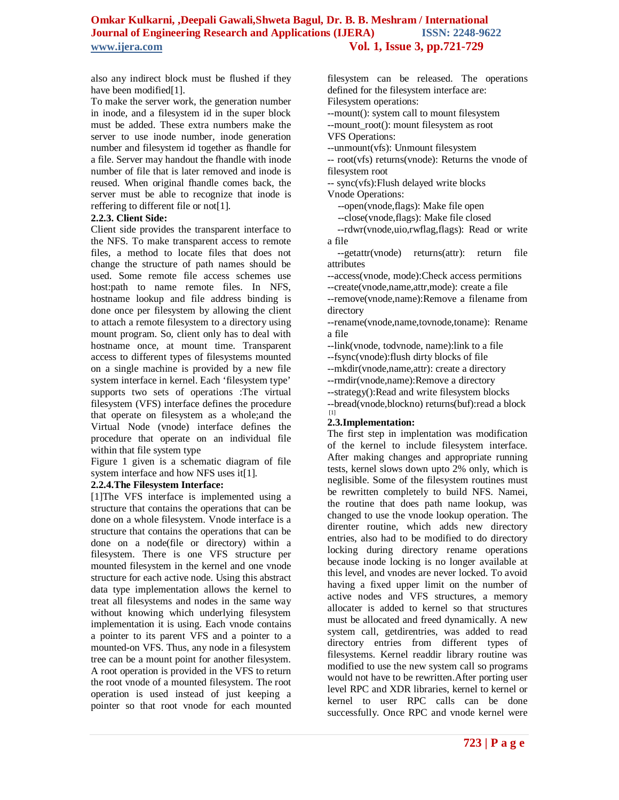also any indirect block must be flushed if they have been modified[1].

To make the server work, the generation number in inode, and a filesystem id in the super block must be added. These extra numbers make the server to use inode number, inode generation number and filesystem id together as fhandle for a file. Server may handout the fhandle with inode number of file that is later removed and inode is reused. When original fhandle comes back, the server must be able to recognize that inode is reffering to different file or not[1].

#### **2.2.3. Client Side:**

Client side provides the transparent interface to the NFS. To make transparent access to remote files, a method to locate files that does not change the structure of path names should be used. Some remote file access schemes use host:path to name remote files. In NFS, hostname lookup and file address binding is done once per filesystem by allowing the client to attach a remote filesystem to a directory using mount program. So, client only has to deal with hostname once, at mount time. Transparent access to different types of filesystems mounted on a single machine is provided by a new file system interface in kernel. Each 'filesystem type' supports two sets of operations :The virtual filesystem (VFS) interface defines the procedure that operate on filesystem as a whole;and the Virtual Node (vnode) interface defines the procedure that operate on an individual file within that file system type

Figure 1 given is a schematic diagram of file system interface and how NFS uses it[1].

## **2.2.4.The Filesystem Interface:**

[1]The VFS interface is implemented using a structure that contains the operations that can be done on a whole filesystem. Vnode interface is a structure that contains the operations that can be done on a node(file or directory) within a filesystem. There is one VFS structure per mounted filesystem in the kernel and one vnode structure for each active node. Using this abstract data type implementation allows the kernel to treat all filesystems and nodes in the same way without knowing which underlying filesystem implementation it is using. Each vnode contains a pointer to its parent VFS and a pointer to a mounted-on VFS. Thus, any node in a filesystem tree can be a mount point for another filesystem. A root operation is provided in the VFS to return the root vnode of a mounted filesystem. The root operation is used instead of just keeping a pointer so that root vnode for each mounted

filesystem can be released. The operations defined for the filesystem interface are: Filesystem operations:

--mount(): system call to mount filesystem --mount root(): mount filesystem as root

VFS Operations:

--unmount(vfs): Unmount filesystem

-- root(vfs) returns(vnode): Returns the vnode of filesystem root

-- sync(vfs):Flush delayed write blocks Vnode Operations:

--open(vnode,flags): Make file open

--close(vnode,flags): Make file closed

 --rdwr(vnode,uio,rwflag,flags): Read or write a file

 --getattr(vnode) returns(attr): return file attributes

--access(vnode, mode):Check access permitions --create(vnode,name,attr,mode): create a file --remove(vnode,name):Remove a filename from directory

--rename(vnode,name,tovnode,toname): Rename a file

--link(vnode, todvnode, name):link to a file

--fsync(vnode):flush dirty blocks of file

--mkdir(vnode,name,attr): create a directory

--rmdir(vnode,name):Remove a directory

--strategy():Read and write filesystem blocks

--bread(vnode,blockno) returns(buf):read a block [1]

## **2.3.Implementation:**

The first step in implentation was modification of the kernel to include filesystem interface. After making changes and appropriate running tests, kernel slows down upto 2% only, which is neglisible. Some of the filesystem routines must be rewritten completely to build NFS. Namei, the routine that does path name lookup, was changed to use the vnode lookup operation. The direnter routine, which adds new directory entries, also had to be modified to do directory locking during directory rename operations because inode locking is no longer available at this level, and vnodes are never locked. To avoid having a fixed upper limit on the number of active nodes and VFS structures, a memory allocater is added to kernel so that structures must be allocated and freed dynamically. A new system call, getdirentries, was added to read directory entries from different types of filesystems. Kernel readdir library routine was modified to use the new system call so programs would not have to be rewritten.After porting user level RPC and XDR libraries, kernel to kernel or kernel to user RPC calls can be done successfully. Once RPC and vnode kernel were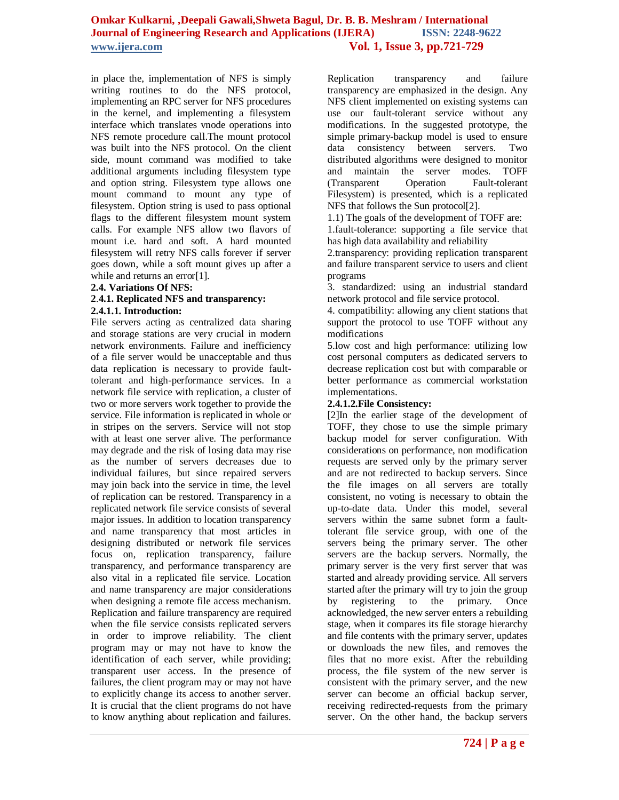in place the, implementation of NFS is simply writing routines to do the NFS protocol, implementing an RPC server for NFS procedures in the kernel, and implementing a filesystem interface which translates vnode operations into NFS remote procedure call.The mount protocol was built into the NFS protocol. On the client side, mount command was modified to take additional arguments including filesystem type and option string. Filesystem type allows one mount command to mount any type of filesystem. Option string is used to pass optional flags to the different filesystem mount system calls. For example NFS allow two flavors of mount i.e. hard and soft. A hard mounted filesystem will retry NFS calls forever if server goes down, while a soft mount gives up after a while and returns an error[1].

#### **2.4. Variations Of NFS:**

#### **2**.**4.1. Replicated NFS and transparency: 2.4.1.1. Introduction:**

File servers acting as centralized data sharing and storage stations are very crucial in modern network environments. Failure and inefficiency of a file server would be unacceptable and thus data replication is necessary to provide faulttolerant and high-performance services. In a network file service with replication, a cluster of two or more servers work together to provide the service. File information is replicated in whole or in stripes on the servers. Service will not stop with at least one server alive. The performance may degrade and the risk of losing data may rise as the number of servers decreases due to individual failures, but since repaired servers may join back into the service in time, the level of replication can be restored. Transparency in a replicated network file service consists of several major issues. In addition to location transparency and name transparency that most articles in designing distributed or network file services focus on, replication transparency, failure transparency, and performance transparency are also vital in a replicated file service. Location and name transparency are major considerations when designing a remote file access mechanism. Replication and failure transparency are required when the file service consists replicated servers in order to improve reliability. The client program may or may not have to know the identification of each server, while providing; transparent user access. In the presence of failures, the client program may or may not have to explicitly change its access to another server. It is crucial that the client programs do not have to know anything about replication and failures.

Replication transparency and failure transparency are emphasized in the design. Any NFS client implemented on existing systems can use our fault-tolerant service without any modifications. In the suggested prototype, the simple primary-backup model is used to ensure data consistency between servers. Two distributed algorithms were designed to monitor and maintain the server modes. TOFF (Transparent Operation Fault-tolerant Filesystem) is presented, which is a replicated NFS that follows the Sun protocol[2].

1.1) The goals of the development of TOFF are: 1.fault-tolerance: supporting a file service that has high data availability and reliability

2.transparency: providing replication transparent and failure transparent service to users and client programs

3. standardized: using an industrial standard network protocol and file service protocol.

4. compatibility: allowing any client stations that support the protocol to use TOFF without any modifications

5.low cost and high performance: utilizing low cost personal computers as dedicated servers to decrease replication cost but with comparable or better performance as commercial workstation implementations.

#### **2.4.1.2.File Consistency:**

[2]In the earlier stage of the development of TOFF, they chose to use the simple primary backup model for server configuration. With considerations on performance, non modification requests are served only by the primary server and are not redirected to backup servers. Since the file images on all servers are totally consistent, no voting is necessary to obtain the up-to-date data. Under this model, several servers within the same subnet form a faulttolerant file service group, with one of the servers being the primary server. The other servers are the backup servers. Normally, the primary server is the very first server that was started and already providing service. All servers started after the primary will try to join the group by registering to the primary. Once acknowledged, the new server enters a rebuilding stage, when it compares its file storage hierarchy and file contents with the primary server, updates or downloads the new files, and removes the files that no more exist. After the rebuilding process, the file system of the new server is consistent with the primary server, and the new server can become an official backup server, receiving redirected-requests from the primary server. On the other hand, the backup servers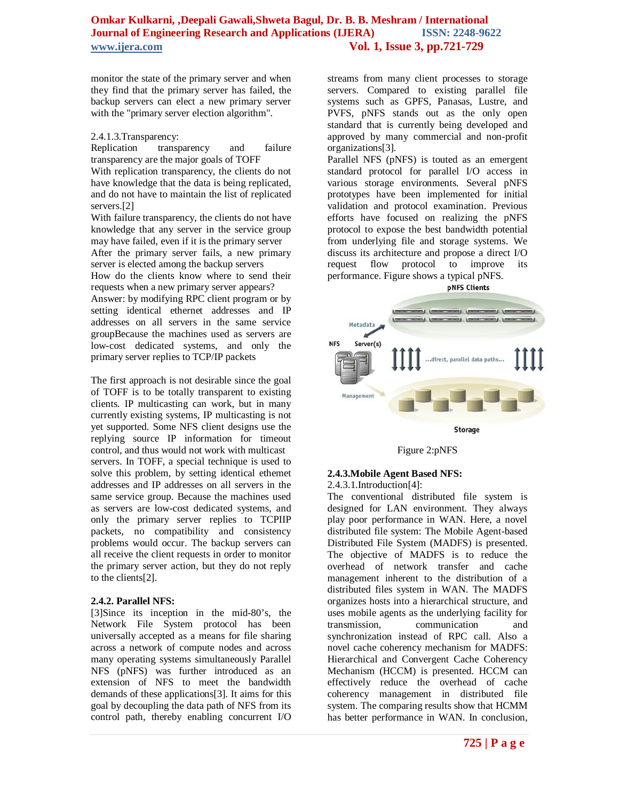monitor the state of the primary server and when they find that the primary server has failed, the backup servers can elect a new primary server with the "primary server election algorithm".

#### 2.4.1.3.Transparency:

Replication transparency and failure transparency are the major goals of TOFF With replication transparency, the clients do not have knowledge that the data is being replicated, and do not have to maintain the list of replicated servers.[2]

With failure transparency, the clients do not have knowledge that any server in the service group may have failed, even if it is the primary server After the primary server fails, a new primary server is elected among the backup servers How do the clients know where to send their requests when a new primary server appears? Answer: by modifying RPC client program or by setting identical ethernet addresses and IP addresses on all servers in the same service

groupBecause the machines used as servers are low-cost dedicated systems, and only the primary server replies to TCP/IP packets

The first approach is not desirable since the goal of TOFF is to be totally transparent to existing clients. IP multicasting can work, but in many currently existing systems, IP multicasting is not yet supported. Some NFS client designs use the replying source IP information for timeout control, and thus would not work with multicast servers. In TOFF, a special technique is used to solve this problem, by setting identical ethemet addresses and IP addresses on all servers in the same service group. Because the machines used as servers are low-cost dedicated systems, and only the primary server replies to TCPIIP packets, no compatibility and consistency problems would occur. The backup servers can all receive the client requests in order to monitor the primary server action, but they do not reply to the clients[2].

#### **2.4.2. Parallel NFS:**

[3]Since its inception in the mid-80's, the Network File System protocol has been universally accepted as a means for file sharing across a network of compute nodes and across many operating systems simultaneously Parallel NFS (pNFS) was further introduced as an extension of NFS to meet the bandwidth demands of these applications[3]. It aims for this goal by decoupling the data path of NFS from its control path, thereby enabling concurrent I/O

streams from many client processes to storage servers. Compared to existing parallel file systems such as GPFS, Panasas, Lustre, and PVFS, pNFS stands out as the only open standard that is currently being developed and approved by many commercial and non-profit organizations[3].

Parallel NFS (pNFS) is touted as an emergent standard protocol for parallel I/O access in various storage environments. Several pNFS prototypes have been implemented for initial validation and protocol examination. Previous efforts have focused on realizing the pNFS protocol to expose the best bandwidth potential from underlying file and storage systems. We discuss its architecture and propose a direct I/O request flow protocol to improve its performance. Figure shows a typical pNFS. **pNFS Clients** 





Figure 2:pNFS

#### **2.4.3.Mobile Agent Based NFS:**

2.4.3.1.Introduction[4]:

The conventional distributed file system is designed for LAN environment. They always play poor performance in WAN. Here, a novel distributed file system: The Mobile Agent-based Distributed File System (MADFS) is presented. The objective of MADFS is to reduce the overhead of network transfer and cache management inherent to the distribution of a distributed files system in WAN. The MADFS organizes hosts into a hierarchical structure, and uses mobile agents as the underlying facility for transmission, communication and synchronization instead of RPC call. Also a novel cache coherency mechanism for MADFS: Hierarchical and Convergent Cache Coherency Mechanism (HCCM) is presented. HCCM can effectively reduce the overhead of cache coherency management in distributed file system. The comparing results show that HCMM has better performance in WAN. In conclusion,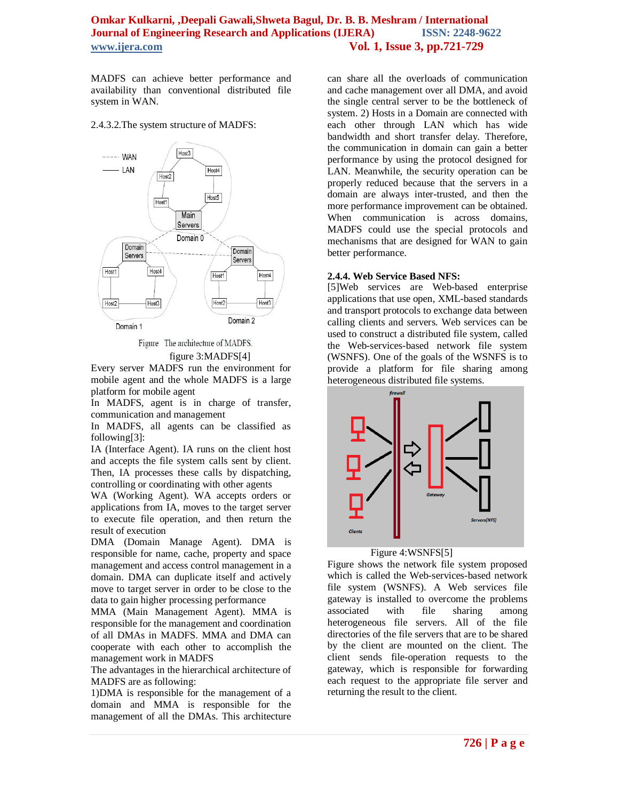MADFS can achieve better performance and availability than conventional distributed file system in WAN.

#### 2.4.3.2.The system structure of MADFS:



Figure The architecture of MADFS.

figure 3:MADFS[4]

Every server MADFS run the environment for mobile agent and the whole MADFS is a large platform for mobile agent

In MADFS, agent is in charge of transfer, communication and management

In MADFS, all agents can be classified as following[3]:

IA (Interface Agent). IA runs on the client host and accepts the file system calls sent by client. Then, IA processes these calls by dispatching, controlling or coordinating with other agents

WA (Working Agent). WA accepts orders or applications from IA, moves to the target server to execute file operation, and then return the result of execution

DMA (Domain Manage Agent). DMA is responsible for name, cache, property and space management and access control management in a domain. DMA can duplicate itself and actively move to target server in order to be close to the data to gain higher processing performance

MMA (Main Management Agent). MMA is responsible for the management and coordination of all DMAs in MADFS. MMA and DMA can cooperate with each other to accomplish the management work in MADFS

The advantages in the hierarchical architecture of MADFS are as following:

1)DMA is responsible for the management of a domain and MMA is responsible for the management of all the DMAs. This architecture

can share all the overloads of communication and cache management over all DMA, and avoid the single central server to be the bottleneck of system. 2) Hosts in a Domain are connected with each other through LAN which has wide bandwidth and short transfer delay. Therefore, the communication in domain can gain a better performance by using the protocol designed for LAN. Meanwhile, the security operation can be properly reduced because that the servers in a domain are always inter-trusted, and then the more performance improvement can be obtained. When communication is across domains, MADFS could use the special protocols and mechanisms that are designed for WAN to gain better performance.

#### **2.4.4. Web Service Based NFS:**

[5]Web services are Web-based enterprise applications that use open, XML-based standards and transport protocols to exchange data between calling clients and servers. Web services can be used to construct a distributed file system, called the Web-services-based network file system (WSNFS). One of the goals of the WSNFS is to provide a platform for file sharing among heterogeneous distributed file systems.



Figure 4:WSNFS[5]

Figure shows the network file system proposed which is called the Web-services-based network file system (WSNFS). A Web services file gateway is installed to overcome the problems associated with file sharing among heterogeneous file servers. All of the file directories of the file servers that are to be shared by the client are mounted on the client. The client sends file-operation requests to the gateway, which is responsible for forwarding each request to the appropriate file server and returning the result to the client.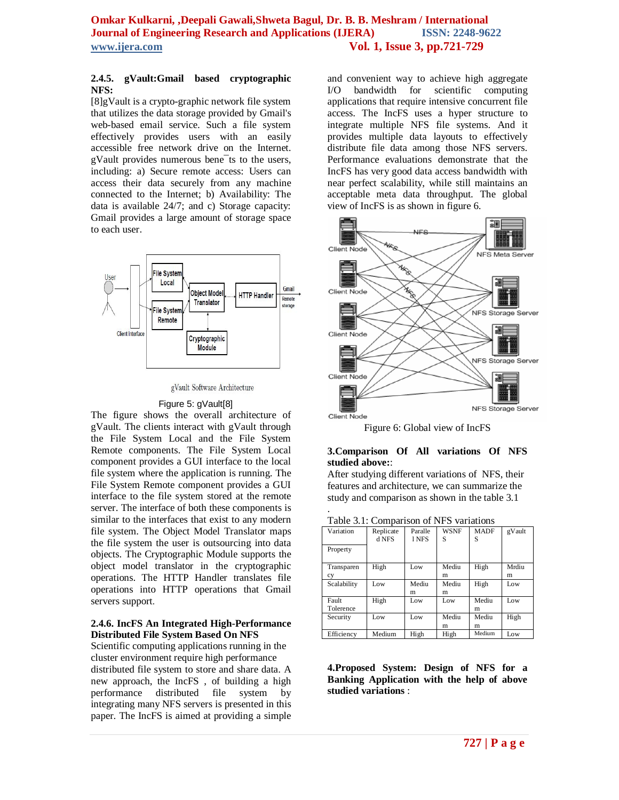#### **2.4.5. gVault:Gmail based cryptographic NFS:**

[8]gVault is a crypto-graphic network file system that utilizes the data storage provided by Gmail's web-based email service. Such a file system effectively provides users with an easily accessible free network drive on the Internet. gVault provides numerous bene¯ts to the users, including: a) Secure remote access: Users can access their data securely from any machine connected to the Internet; b) Availability: The data is available 24/7; and c) Storage capacity: Gmail provides a large amount of storage space to each user.



gVault Software Architecture

#### Figure 5: gVault[8]

The figure shows the overall architecture of gVault. The clients interact with gVault through the File System Local and the File System Remote components. The File System Local component provides a GUI interface to the local file system where the application is running. The File System Remote component provides a GUI interface to the file system stored at the remote server. The interface of both these components is similar to the interfaces that exist to any modern file system. The Object Model Translator maps the file system the user is outsourcing into data objects. The Cryptographic Module supports the object model translator in the cryptographic operations. The HTTP Handler translates file operations into HTTP operations that Gmail servers support.

#### **2.4.6. IncFS An Integrated High-Performance Distributed File System Based On NFS**

Scientific computing applications running in the cluster environment require high performance distributed file system to store and share data. A new approach, the IncFS , of building a high performance distributed file system by integrating many NFS servers is presented in this paper. The IncFS is aimed at providing a simple

and convenient way to achieve high aggregate I/O bandwidth for scientific computing applications that require intensive concurrent file access. The IncFS uses a hyper structure to integrate multiple NFS file systems. And it provides multiple data layouts to effectively distribute file data among those NFS servers. Performance evaluations demonstrate that the IncFS has very good data access bandwidth with near perfect scalability, while still maintains an acceptable meta data throughput. The global view of IncFS is as shown in figure 6.



Figure 6: Global view of IncFS

#### **3.Comparison Of All variations Of NFS studied above:**:

After studying different variations of NFS, their features and architecture, we can summarize the study and comparison as shown in the table 3.1

|  | Table 3.1: Comparison of NFS variations |  |  |
|--|-----------------------------------------|--|--|
|--|-----------------------------------------|--|--|

.

| Variation   | Replicate | Paralle | <b>WSNF</b> | <b>MADF</b> | gVault |
|-------------|-----------|---------|-------------|-------------|--------|
|             | d NFS     | 1 NFS   | S           | S           |        |
| Property    |           |         |             |             |        |
|             |           |         |             |             |        |
| Transparen  | High      | Low     | Mediu       | High        | Mrdiu  |
| cy          |           |         | m           |             | m      |
| Scalability | Low       | Mediu   | Mediu       | High        | Low    |
|             |           | m       | m           |             |        |
| Fault       | High      | Low     | Low         | Mediu       | Low    |
| Tolerence   |           |         |             | m           |        |
| Security    | Low       | Low     | Mediu       | Mediu       | High   |
|             |           |         | m           | m           |        |
| Efficiency  | Medium    | High    | High        | Medium      | Low    |

**4.Proposed System: Design of NFS for a Banking Application with the help of above studied variations** :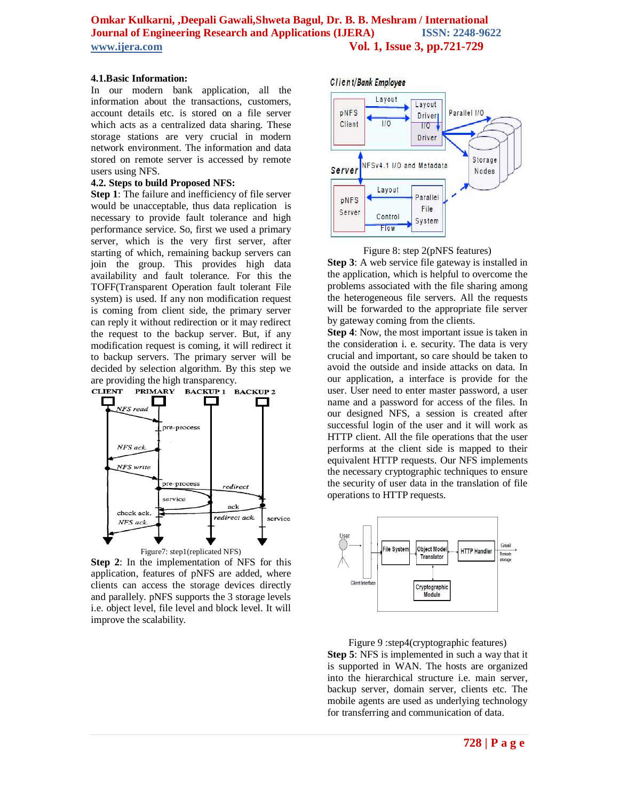#### **4.1.Basic Information:**

In our modern bank application, all the information about the transactions, customers, account details etc. is stored on a file server which acts as a centralized data sharing. These storage stations are very crucial in modern network environment. The information and data stored on remote server is accessed by remote users using NFS.

#### **4.2. Steps to build Proposed NFS:**

**Step 1**: The failure and inefficiency of file server would be unacceptable, thus data replication is necessary to provide fault tolerance and high performance service. So, first we used a primary server, which is the very first server, after starting of which, remaining backup servers can join the group. This provides high data availability and fault tolerance. For this the TOFF(Transparent Operation fault tolerant File system) is used. If any non modification request is coming from client side, the primary server can reply it without redirection or it may redirect the request to the backup server. But, if any modification request is coming, it will redirect it to backup servers. The primary server will be decided by selection algorithm. By this step we are providing the high transparency.<br>CLIENT PRIMARY BACKUP 1 E



**Step 2**: In the implementation of NFS for this application, features of pNFS are added, where clients can access the storage devices directly and parallely. pNFS supports the 3 storage levels i.e. object level, file level and block level. It will improve the scalability.

Client/Bank Employee





**Step 3**: A web service file gateway is installed in the application, which is helpful to overcome the problems associated with the file sharing among the heterogeneous file servers. All the requests will be forwarded to the appropriate file server by gateway coming from the clients.

**Step 4**: Now, the most important issue is taken in the consideration i. e. security. The data is very crucial and important, so care should be taken to avoid the outside and inside attacks on data. In our application, a interface is provide for the user. User need to enter master password, a user name and a password for access of the files. In our designed NFS, a session is created after successful login of the user and it will work as HTTP client. All the file operations that the user performs at the client side is mapped to their equivalent HTTP requests. Our NFS implements the necessary cryptographic techniques to ensure the security of user data in the translation of file operations to HTTP requests.



Figure 9 :step4(cryptographic features) **Step 5**: NFS is implemented in such a way that it is supported in WAN. The hosts are organized into the hierarchical structure i.e. main server, backup server, domain server, clients etc. The mobile agents are used as underlying technology for transferring and communication of data.